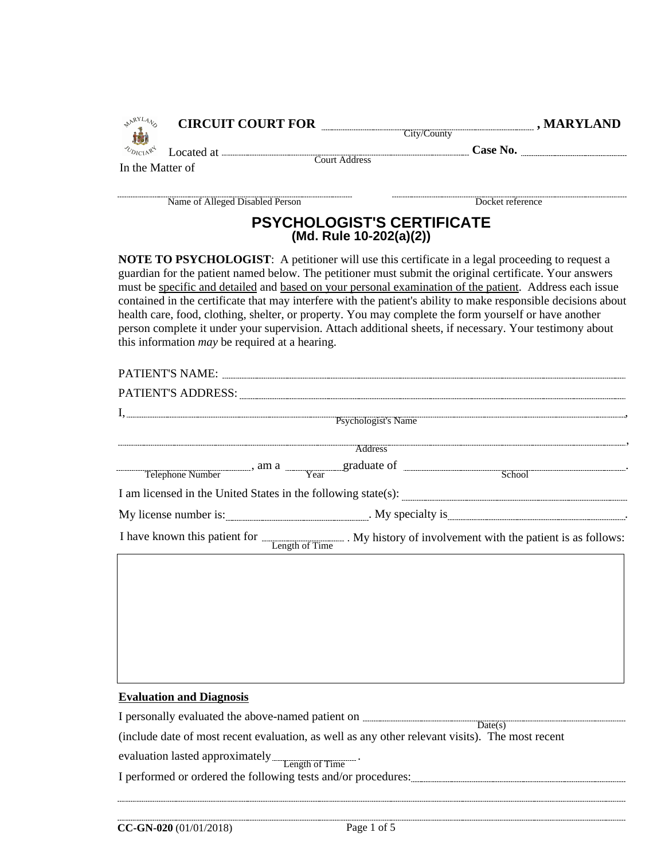| <b>AARYLANS</b><br>遍 |                                                       |                                                                                                                                | CIRCUIT COURT FOR City/County County , MARYLAND                                                                                                                                                                                                                                                                                                                                                                                                                                                                                                                                                                                                                    |
|----------------------|-------------------------------------------------------|--------------------------------------------------------------------------------------------------------------------------------|--------------------------------------------------------------------------------------------------------------------------------------------------------------------------------------------------------------------------------------------------------------------------------------------------------------------------------------------------------------------------------------------------------------------------------------------------------------------------------------------------------------------------------------------------------------------------------------------------------------------------------------------------------------------|
| <b>NDICIARY</b>      |                                                       |                                                                                                                                | Located at <u>Court Address</u> Case No.                                                                                                                                                                                                                                                                                                                                                                                                                                                                                                                                                                                                                           |
| In the Matter of     |                                                       |                                                                                                                                |                                                                                                                                                                                                                                                                                                                                                                                                                                                                                                                                                                                                                                                                    |
|                      |                                                       |                                                                                                                                | Name of Alleged Disabled Person<br>Docket reference<br>Docket reference                                                                                                                                                                                                                                                                                                                                                                                                                                                                                                                                                                                            |
|                      |                                                       | <b>PSYCHOLOGIST'S CERTIFICATE</b><br>(Md. Rule 10-202(a)(2))                                                                   |                                                                                                                                                                                                                                                                                                                                                                                                                                                                                                                                                                                                                                                                    |
|                      | this information <i>may</i> be required at a hearing. |                                                                                                                                | <b>NOTE TO PSYCHOLOGIST:</b> A petitioner will use this certificate in a legal proceeding to request a<br>guardian for the patient named below. The petitioner must submit the original certificate. Your answers<br>must be specific and detailed and based on your personal examination of the patient. Address each issue<br>contained in the certificate that may interfere with the patient's ability to make responsible decisions about<br>health care, food, clothing, shelter, or property. You may complete the form yourself or have another<br>person complete it under your supervision. Attach additional sheets, if necessary. Your testimony about |
|                      |                                                       |                                                                                                                                |                                                                                                                                                                                                                                                                                                                                                                                                                                                                                                                                                                                                                                                                    |
|                      |                                                       |                                                                                                                                |                                                                                                                                                                                                                                                                                                                                                                                                                                                                                                                                                                                                                                                                    |
|                      |                                                       |                                                                                                                                |                                                                                                                                                                                                                                                                                                                                                                                                                                                                                                                                                                                                                                                                    |
|                      |                                                       |                                                                                                                                |                                                                                                                                                                                                                                                                                                                                                                                                                                                                                                                                                                                                                                                                    |
|                      |                                                       |                                                                                                                                |                                                                                                                                                                                                                                                                                                                                                                                                                                                                                                                                                                                                                                                                    |
|                      |                                                       |                                                                                                                                | Telephone Number (a) am a Telephone Number (a) am a Telephone Number (a) am a Telephone Number (a) Telephone Number (a) Telephone Number (a) Telephone Number (a) Telephone Number (a) Telephone Number (a) Telephone Number (                                                                                                                                                                                                                                                                                                                                                                                                                                     |
|                      |                                                       |                                                                                                                                |                                                                                                                                                                                                                                                                                                                                                                                                                                                                                                                                                                                                                                                                    |
|                      |                                                       |                                                                                                                                |                                                                                                                                                                                                                                                                                                                                                                                                                                                                                                                                                                                                                                                                    |
|                      |                                                       |                                                                                                                                | I have known this patient for <b>Length of Time</b> . My history of involvement with the patient is as follows:                                                                                                                                                                                                                                                                                                                                                                                                                                                                                                                                                    |
|                      |                                                       |                                                                                                                                |                                                                                                                                                                                                                                                                                                                                                                                                                                                                                                                                                                                                                                                                    |
|                      | <b>Evaluation and Diagnosis</b>                       | I personally evaluated the above-named patient on $\frac{1}{\text{Date}(s)}$<br>evaluation lasted approximately Length of Time | (include date of most recent evaluation, as well as any other relevant visits). The most recent                                                                                                                                                                                                                                                                                                                                                                                                                                                                                                                                                                    |
|                      |                                                       |                                                                                                                                | I performed or ordered the following tests and/or procedures: [11] performed or ordered the following tests and/or procedures:                                                                                                                                                                                                                                                                                                                                                                                                                                                                                                                                     |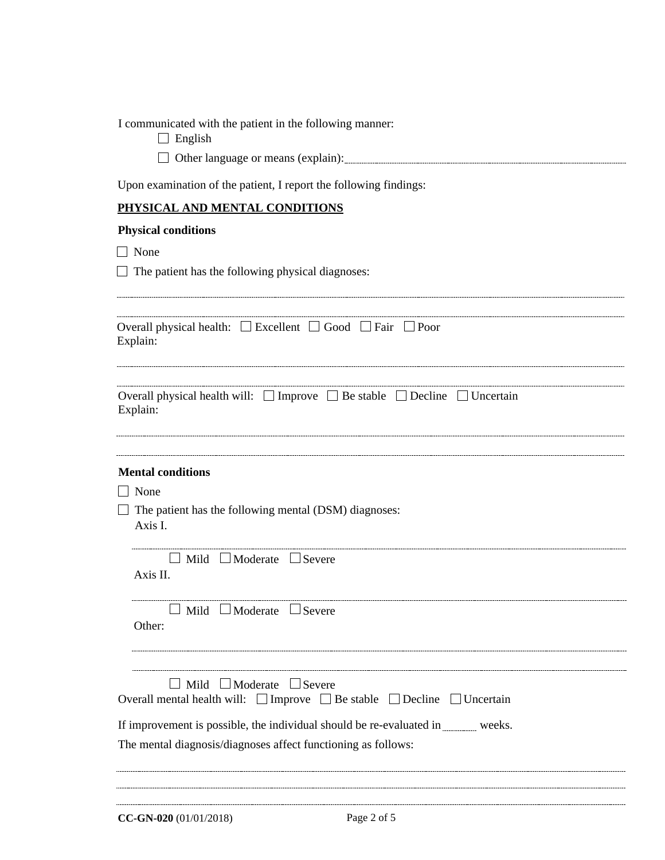I communicated with the patient in the following manner:

 $\Box$  English

□ Other language or means (explain): □

Upon examination of the patient, I report the following findings:

## **PHYSICAL AND MENTAL CONDITIONS**

## **Physical conditions**

None

 $\Box$  The patient has the following physical diagnoses:

| Overall physical health: | $\Box$ Excellent | $\lfloor$ Good $\lfloor$ $\rfloor$ | Fair |  |  |
|--------------------------|------------------|------------------------------------|------|--|--|
| Explain                  |                  |                                    |      |  |  |

| Overall physical health will: $\Box$ Improve $\Box$ Be stable $\Box$ Decline $\Box$ Uncertain |  |  |  |
|-----------------------------------------------------------------------------------------------|--|--|--|
| Explain:                                                                                      |  |  |  |
|                                                                                               |  |  |  |

## **Mental conditions**

□ None

 $\Box$  The patient has the following mental (DSM) diagnoses: Axis I.

| Axis II. | $\Box$ Mild $\Box$ Moderate $\Box$ Severe |  |
|----------|-------------------------------------------|--|
| ther :   | $\Box$ Mild $\Box$ Moderate $\Box$ Severe |  |
|          | Mild $\Box$ Moderate $\Box$ Severe        |  |

| Overall mental health will: $\Box$ Improve $\Box$ Be stable $\Box$ Decline $\Box$ Uncertain |  |  |  |  |
|---------------------------------------------------------------------------------------------|--|--|--|--|
|---------------------------------------------------------------------------------------------|--|--|--|--|

If improvement is possible, the individual should be re-evaluated in weeks.

The mental diagnosis/diagnoses affect functioning as follows: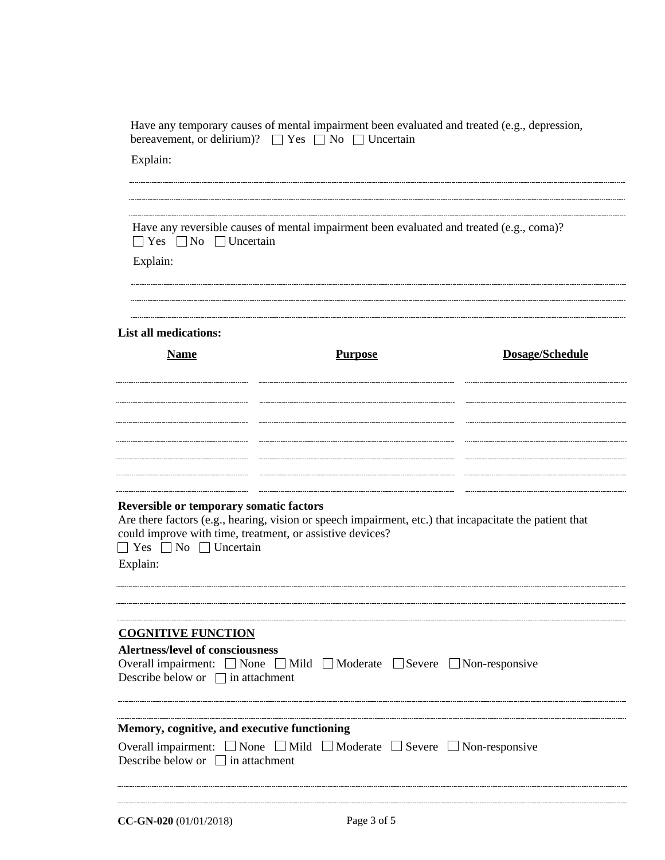|                                                                                                                                               | Have any temporary causes of mental impairment been evaluated and treated (e.g., depression,<br>bereavement, or delirium)? $\Box$ Yes $\Box$ No $\Box$ Uncertain     |                 |  |  |  |
|-----------------------------------------------------------------------------------------------------------------------------------------------|----------------------------------------------------------------------------------------------------------------------------------------------------------------------|-----------------|--|--|--|
| Explain:                                                                                                                                      |                                                                                                                                                                      |                 |  |  |  |
| Have any reversible causes of mental impairment been evaluated and treated (e.g., coma)?<br>$\Box$ Yes $\Box$ No $\Box$ Uncertain<br>Explain: |                                                                                                                                                                      |                 |  |  |  |
| <b>List all medications:</b>                                                                                                                  |                                                                                                                                                                      |                 |  |  |  |
| <b>Name</b>                                                                                                                                   | <b>Purpose</b>                                                                                                                                                       | Dosage/Schedule |  |  |  |
|                                                                                                                                               |                                                                                                                                                                      |                 |  |  |  |
| <b>Reversible or temporary somatic factors</b>                                                                                                |                                                                                                                                                                      |                 |  |  |  |
| $\Box$ Yes $\Box$ No $\Box$ Uncertain<br>Explain:                                                                                             | Are there factors (e.g., hearing, vision or speech impairment, etc.) that incapacitate the patient that<br>could improve with time, treatment, or assistive devices? |                 |  |  |  |
| <b>COGNITIVE FUNCTION</b>                                                                                                                     |                                                                                                                                                                      |                 |  |  |  |
| <b>Alertness/level of consciousness</b><br>Describe below or $\Box$ in attachment                                                             | Overall impairment: □ None □ Mild □ Moderate □ Severe □ Non-responsive                                                                                               |                 |  |  |  |
| Memory, cognitive, and executive functioning                                                                                                  | Overall impairment: $\Box$ None $\Box$ Mild $\Box$ Moderate $\Box$ Severe $\Box$ Non-responsive                                                                      |                 |  |  |  |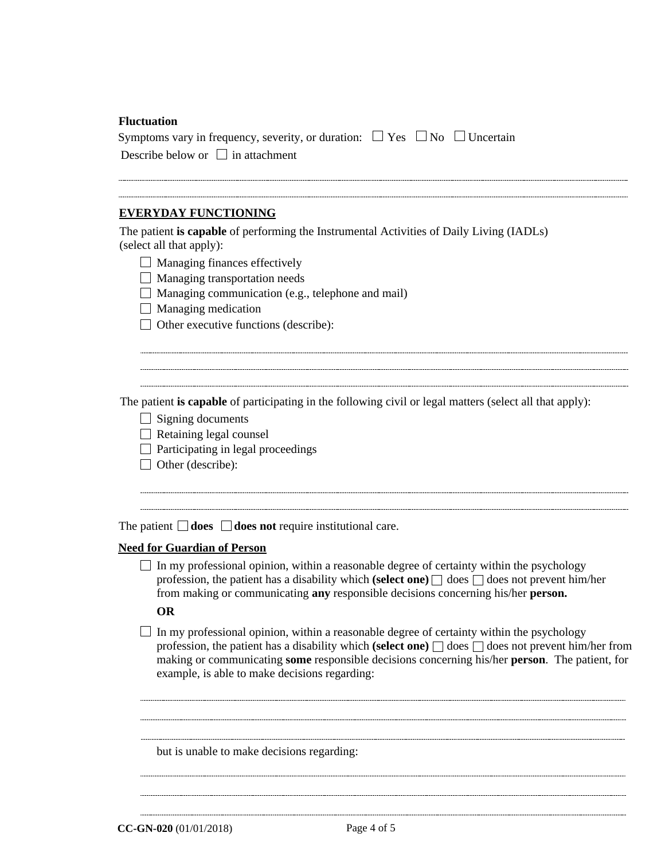| <b>Fluctuation</b>                                                                                                                                                                                                                                                                        |  |  |  |  |
|-------------------------------------------------------------------------------------------------------------------------------------------------------------------------------------------------------------------------------------------------------------------------------------------|--|--|--|--|
| Symptoms vary in frequency, severity, or duration: $\Box$ Yes $\Box$ No $\Box$ Uncertain<br>Describe below or $\Box$ in attachment                                                                                                                                                        |  |  |  |  |
|                                                                                                                                                                                                                                                                                           |  |  |  |  |
| <b>EVERYDAY FUNCTIONING</b>                                                                                                                                                                                                                                                               |  |  |  |  |
| The patient is capable of performing the Instrumental Activities of Daily Living (IADLs)<br>(select all that apply):                                                                                                                                                                      |  |  |  |  |
| $\Box$ Managing finances effectively                                                                                                                                                                                                                                                      |  |  |  |  |
| $\Box$ Managing transportation needs                                                                                                                                                                                                                                                      |  |  |  |  |
| Managing communication (e.g., telephone and mail)                                                                                                                                                                                                                                         |  |  |  |  |
| $\Box$ Managing medication                                                                                                                                                                                                                                                                |  |  |  |  |
| $\Box$ Other executive functions (describe):                                                                                                                                                                                                                                              |  |  |  |  |
| The patient is capable of participating in the following civil or legal matters (select all that apply):<br>$\Box$ Signing documents<br>$\Box$ Retaining legal counsel<br>$\Box$ Participating in legal proceedings<br>$\Box$ Other (describe):                                           |  |  |  |  |
| The patient $\Box$ <b>does</b> $\Box$ <b>does not</b> require institutional care.                                                                                                                                                                                                         |  |  |  |  |
| <b>Need for Guardian of Person</b>                                                                                                                                                                                                                                                        |  |  |  |  |
| In my professional opinion, within a reasonable degree of certainty within the psychology<br>profession, the patient has a disability which (select one) $\Box$ does $\Box$ does not prevent him/her<br>from making or communicating any responsible decisions concerning his/her person. |  |  |  |  |
| <b>OR</b>                                                                                                                                                                                                                                                                                 |  |  |  |  |

 $\Box$  In my professional opinion, within a reasonable degree of certainty within the psychology profession, the patient has a disability which **(select one)**  $\Box$  does  $\Box$  does not prevent him/her from making or communicating **some** responsible decisions concerning his/her **person**. The patient, for example, is able to make decisions regarding:

but is unable to make decisions regarding:

**CC-GN-020** (01/01/2018) Page 4 of 5